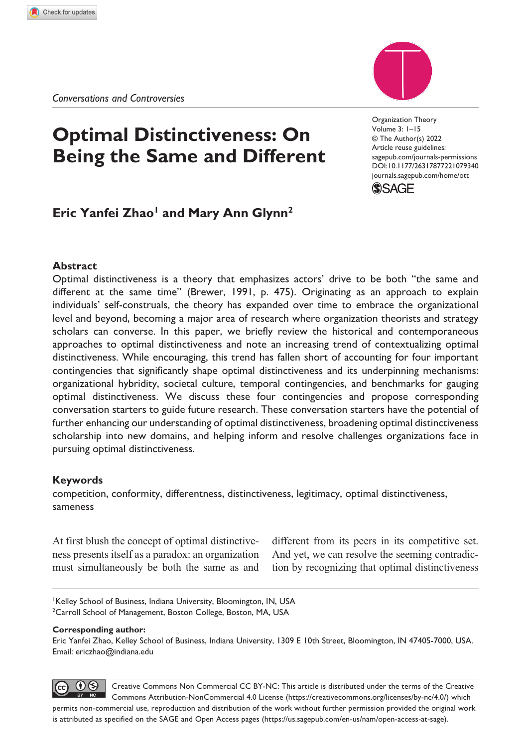# **Optimal Distinctiveness: On Being the Same and Different**

DOI: 10.1177/26317877221079340 Organization Theory Volume 3: 1–15 © The Author(s) 2022 Article reuse guidelines: [sagepub.com/journals-permissions](https://uk.sagepub.com/en-gb/journals-permissions) [journals.sagepub.com/home/ot](https://journals.sagepub.com/home/ott)t



## **Eric Yanfei Zhao<sup>1</sup> and Mary Ann Glynn<sup>2</sup>**

## **Abstract**

Optimal distinctiveness is a theory that emphasizes actors' drive to be both "the same and different at the same time" (Brewer, 1991, p. 475). Originating as an approach to explain individuals' self-construals, the theory has expanded over time to embrace the organizational level and beyond, becoming a major area of research where organization theorists and strategy scholars can converse. In this paper, we briefly review the historical and contemporaneous approaches to optimal distinctiveness and note an increasing trend of contextualizing optimal distinctiveness. While encouraging, this trend has fallen short of accounting for four important contingencies that significantly shape optimal distinctiveness and its underpinning mechanisms: organizational hybridity, societal culture, temporal contingencies, and benchmarks for gauging optimal distinctiveness. We discuss these four contingencies and propose corresponding conversation starters to guide future research. These conversation starters have the potential of further enhancing our understanding of optimal distinctiveness, broadening optimal distinctiveness scholarship into new domains, and helping inform and resolve challenges organizations face in pursuing optimal distinctiveness.

## **Keywords**

competition, conformity, differentness, distinctiveness, legitimacy, optimal distinctiveness, sameness

At first blush the concept of optimal distinctiveness presents itself as a paradox: an organization must simultaneously be both the same as and different from its peers in its competitive set. And yet, we can resolve the seeming contradiction by recognizing that optimal distinctiveness

Kelley School of Business, Indiana University, Bloomington, IN, USA <sup>2</sup>Carroll School of Management, Boston College, Boston, MA, USA

#### **Corresponding author:**

Eric Yanfei Zhao, Kelley School of Business, Indiana University, 1309 E 10th Street, Bloomington, IN 47405-7000, USA. Email: [ericzhao@indiana.edu](mailto:ericzhao@indiana.edu)

 $\bigcirc$ Creative Commons Non Commercial CC BY-NC: This article is distributed under the terms of the Creative Commons Attribution-NonCommercial 4.0 License (https://creativecommons.org/licenses/by-nc/4.0/) which permits non-commercial use, reproduction and distribution of the work without further permission provided the original work is attributed as specified on the SAGE and Open Access pages (https://us.sagepub.com/en-us/nam/open-access-at-sage).

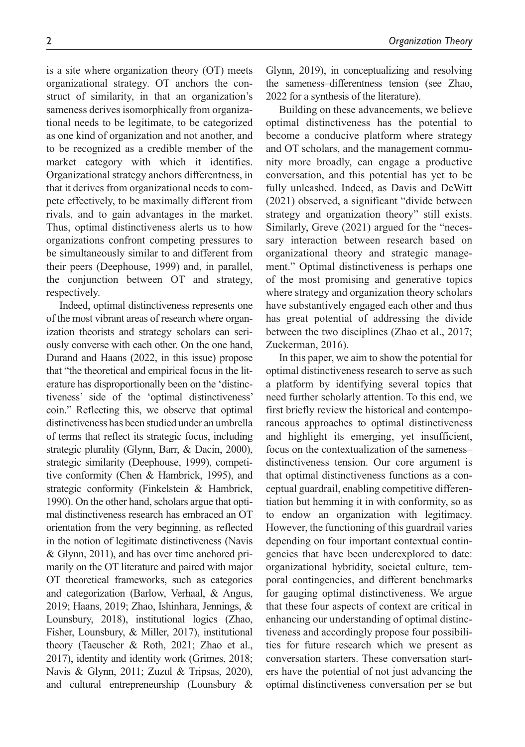struct of similarity, in that an organization's sameness derives isomorphically from organizational needs to be legitimate, to be categorized as one kind of organization and not another, and to be recognized as a credible member of the market category with which it identifies. Organizational strategy anchors differentness, in that it derives from organizational needs to compete effectively, to be maximally different from rivals, and to gain advantages in the market. Thus, optimal distinctiveness alerts us to how organizations confront competing pressures to be simultaneously similar to and different from their peers (Deephouse, 1999) and, in parallel, the conjunction between OT and strategy, respectively.

Indeed, optimal distinctiveness represents one of the most vibrant areas of research where organization theorists and strategy scholars can seriously converse with each other. On the one hand, Durand and Haans (2022, in this issue) propose that "the theoretical and empirical focus in the literature has disproportionally been on the 'distinctiveness' side of the 'optimal distinctiveness' coin." Reflecting this, we observe that optimal distinctiveness has been studied under an umbrella of terms that reflect its strategic focus, including strategic plurality (Glynn, Barr, & Dacin, 2000), strategic similarity (Deephouse, 1999), competitive conformity (Chen & Hambrick, 1995), and strategic conformity (Finkelstein & Hambrick, 1990). On the other hand, scholars argue that optimal distinctiveness research has embraced an OT orientation from the very beginning, as reflected in the notion of legitimate distinctiveness (Navis & Glynn, 2011), and has over time anchored primarily on the OT literature and paired with major OT theoretical frameworks, such as categories and categorization (Barlow, Verhaal, & Angus, 2019; Haans, 2019; Zhao, Ishinhara, Jennings, & Lounsbury, 2018), institutional logics (Zhao, Fisher, Lounsbury, & Miller, 2017), institutional theory (Taeuscher & Roth, 2021; Zhao et al., 2017), identity and identity work (Grimes, 2018; Navis & Glynn, 2011; Zuzul & Tripsas, 2020), and cultural entrepreneurship (Lounsbury &

Glynn, 2019), in conceptualizing and resolving the sameness–differentness tension (see Zhao, 2022 for a synthesis of the literature).

Building on these advancements, we believe optimal distinctiveness has the potential to become a conducive platform where strategy and OT scholars, and the management community more broadly, can engage a productive conversation, and this potential has yet to be fully unleashed. Indeed, as Davis and DeWitt (2021) observed, a significant "divide between strategy and organization theory" still exists. Similarly, Greve (2021) argued for the "necessary interaction between research based on organizational theory and strategic management." Optimal distinctiveness is perhaps one of the most promising and generative topics where strategy and organization theory scholars have substantively engaged each other and thus has great potential of addressing the divide between the two disciplines (Zhao et al., 2017; Zuckerman, 2016).

In this paper, we aim to show the potential for optimal distinctiveness research to serve as such a platform by identifying several topics that need further scholarly attention. To this end, we first briefly review the historical and contemporaneous approaches to optimal distinctiveness and highlight its emerging, yet insufficient, focus on the contextualization of the sameness– distinctiveness tension. Our core argument is that optimal distinctiveness functions as a conceptual guardrail, enabling competitive differentiation but hemming it in with conformity, so as to endow an organization with legitimacy. However, the functioning of this guardrail varies depending on four important contextual contingencies that have been underexplored to date: organizational hybridity, societal culture, temporal contingencies, and different benchmarks for gauging optimal distinctiveness. We argue that these four aspects of context are critical in enhancing our understanding of optimal distinctiveness and accordingly propose four possibilities for future research which we present as conversation starters. These conversation starters have the potential of not just advancing the optimal distinctiveness conversation per se but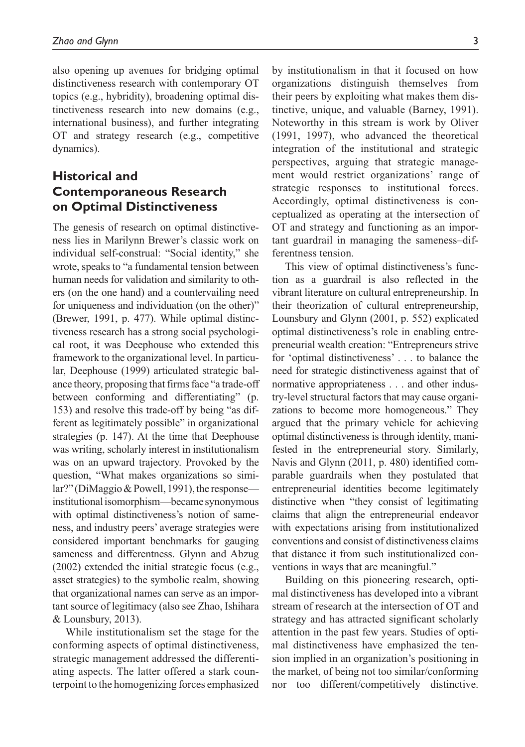also opening up avenues for bridging optimal distinctiveness research with contemporary OT topics (e.g., hybridity), broadening optimal distinctiveness research into new domains (e.g., international business), and further integrating OT and strategy research (e.g., competitive dynamics).

## **Historical and Contemporaneous Research on Optimal Distinctiveness**

The genesis of research on optimal distinctiveness lies in Marilynn Brewer's classic work on individual self-construal: "Social identity," she wrote, speaks to "a fundamental tension between human needs for validation and similarity to others (on the one hand) and a countervailing need for uniqueness and individuation (on the other)" (Brewer, 1991, p. 477). While optimal distinctiveness research has a strong social psychological root, it was Deephouse who extended this framework to the organizational level. In particular, Deephouse (1999) articulated strategic balance theory, proposing that firms face "a trade-off between conforming and differentiating" (p. 153) and resolve this trade-off by being "as different as legitimately possible" in organizational strategies (p. 147). At the time that Deephouse was writing, scholarly interest in institutionalism was on an upward trajectory. Provoked by the question, "What makes organizations so similar?" (DiMaggio & Powell, 1991), the response institutional isomorphism—became synonymous with optimal distinctiveness's notion of sameness, and industry peers' average strategies were considered important benchmarks for gauging sameness and differentness. Glynn and Abzug (2002) extended the initial strategic focus (e.g., asset strategies) to the symbolic realm, showing that organizational names can serve as an important source of legitimacy (also see Zhao, Ishihara & Lounsbury, 2013).

While institutionalism set the stage for the conforming aspects of optimal distinctiveness, strategic management addressed the differentiating aspects. The latter offered a stark counterpoint to the homogenizing forces emphasized by institutionalism in that it focused on how organizations distinguish themselves from their peers by exploiting what makes them distinctive, unique, and valuable (Barney, 1991). Noteworthy in this stream is work by Oliver (1991, 1997), who advanced the theoretical integration of the institutional and strategic perspectives, arguing that strategic management would restrict organizations' range of strategic responses to institutional forces. Accordingly, optimal distinctiveness is conceptualized as operating at the intersection of OT and strategy and functioning as an important guardrail in managing the sameness–differentness tension.

This view of optimal distinctiveness's function as a guardrail is also reflected in the vibrant literature on cultural entrepreneurship. In their theorization of cultural entrepreneurship, Lounsbury and Glynn (2001, p. 552) explicated optimal distinctiveness's role in enabling entrepreneurial wealth creation: "Entrepreneurs strive for 'optimal distinctiveness' . . . to balance the need for strategic distinctiveness against that of normative appropriateness . . . and other industry-level structural factors that may cause organizations to become more homogeneous." They argued that the primary vehicle for achieving optimal distinctiveness is through identity, manifested in the entrepreneurial story. Similarly, Navis and Glynn (2011, p. 480) identified comparable guardrails when they postulated that entrepreneurial identities become legitimately distinctive when "they consist of legitimating claims that align the entrepreneurial endeavor with expectations arising from institutionalized conventions and consist of distinctiveness claims that distance it from such institutionalized conventions in ways that are meaningful."

Building on this pioneering research, optimal distinctiveness has developed into a vibrant stream of research at the intersection of OT and strategy and has attracted significant scholarly attention in the past few years. Studies of optimal distinctiveness have emphasized the tension implied in an organization's positioning in the market, of being not too similar/conforming nor too different/competitively distinctive.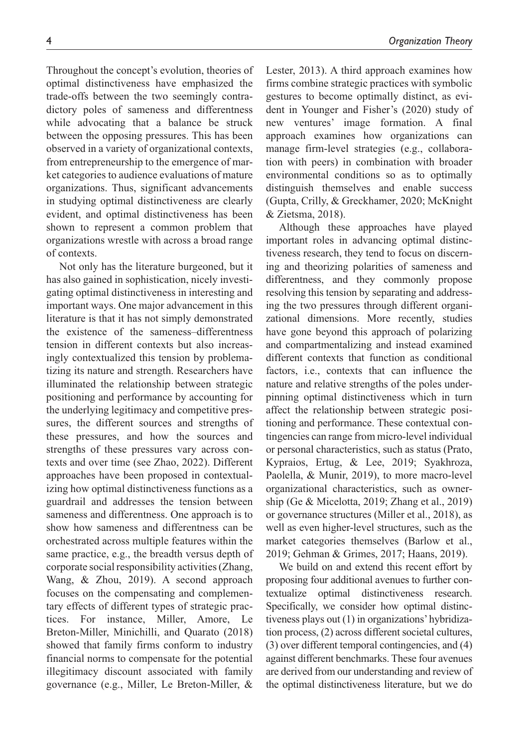Throughout the concept's evolution, theories of optimal distinctiveness have emphasized the trade-offs between the two seemingly contradictory poles of sameness and differentness while advocating that a balance be struck between the opposing pressures. This has been observed in a variety of organizational contexts, from entrepreneurship to the emergence of market categories to audience evaluations of mature organizations. Thus, significant advancements in studying optimal distinctiveness are clearly evident, and optimal distinctiveness has been shown to represent a common problem that organizations wrestle with across a broad range of contexts.

Not only has the literature burgeoned, but it has also gained in sophistication, nicely investigating optimal distinctiveness in interesting and important ways. One major advancement in this literature is that it has not simply demonstrated the existence of the sameness–differentness tension in different contexts but also increasingly contextualized this tension by problematizing its nature and strength. Researchers have illuminated the relationship between strategic positioning and performance by accounting for the underlying legitimacy and competitive pressures, the different sources and strengths of these pressures, and how the sources and strengths of these pressures vary across contexts and over time (see Zhao, 2022). Different approaches have been proposed in contextualizing how optimal distinctiveness functions as a guardrail and addresses the tension between sameness and differentness. One approach is to show how sameness and differentness can be orchestrated across multiple features within the same practice, e.g., the breadth versus depth of corporate social responsibility activities (Zhang, Wang, & Zhou, 2019). A second approach focuses on the compensating and complementary effects of different types of strategic practices. For instance, Miller, Amore, Le Breton-Miller, Minichilli, and Quarato (2018) showed that family firms conform to industry financial norms to compensate for the potential illegitimacy discount associated with family governance (e.g., Miller, Le Breton-Miller, & Lester, 2013). A third approach examines how firms combine strategic practices with symbolic gestures to become optimally distinct, as evident in Younger and Fisher's (2020) study of new ventures' image formation. A final approach examines how organizations can manage firm-level strategies (e.g., collaboration with peers) in combination with broader environmental conditions so as to optimally distinguish themselves and enable success (Gupta, Crilly, & Greckhamer, 2020; McKnight & Zietsma, 2018).

Although these approaches have played important roles in advancing optimal distinctiveness research, they tend to focus on discerning and theorizing polarities of sameness and differentness, and they commonly propose resolving this tension by separating and addressing the two pressures through different organizational dimensions. More recently, studies have gone beyond this approach of polarizing and compartmentalizing and instead examined different contexts that function as conditional factors, i.e., contexts that can influence the nature and relative strengths of the poles underpinning optimal distinctiveness which in turn affect the relationship between strategic positioning and performance. These contextual contingencies can range from micro-level individual or personal characteristics, such as status (Prato, Kypraios, Ertug, & Lee, 2019; Syakhroza, Paolella, & Munir, 2019), to more macro-level organizational characteristics, such as ownership (Ge & Micelotta, 2019; Zhang et al., 2019) or governance structures (Miller et al., 2018), as well as even higher-level structures, such as the market categories themselves (Barlow et al., 2019; Gehman & Grimes, 2017; Haans, 2019).

We build on and extend this recent effort by proposing four additional avenues to further contextualize optimal distinctiveness research. Specifically, we consider how optimal distinctiveness plays out (1) in organizations' hybridization process, (2) across different societal cultures, (3) over different temporal contingencies, and (4) against different benchmarks. These four avenues are derived from our understanding and review of the optimal distinctiveness literature, but we do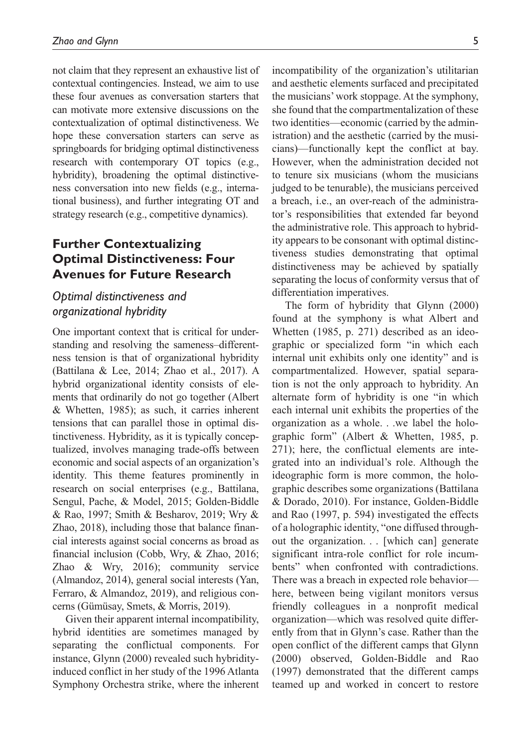not claim that they represent an exhaustive list of contextual contingencies. Instead, we aim to use these four avenues as conversation starters that can motivate more extensive discussions on the contextualization of optimal distinctiveness. We hope these conversation starters can serve as springboards for bridging optimal distinctiveness research with contemporary OT topics (e.g., hybridity), broadening the optimal distinctiveness conversation into new fields (e.g., international business), and further integrating OT and strategy research (e.g., competitive dynamics).

## **Further Contextualizing Optimal Distinctiveness: Four Avenues for Future Research**

## *Optimal distinctiveness and organizational hybridity*

One important context that is critical for understanding and resolving the sameness–differentness tension is that of organizational hybridity (Battilana & Lee, 2014; Zhao et al., 2017). A hybrid organizational identity consists of elements that ordinarily do not go together (Albert & Whetten, 1985); as such, it carries inherent tensions that can parallel those in optimal distinctiveness. Hybridity, as it is typically conceptualized, involves managing trade-offs between economic and social aspects of an organization's identity. This theme features prominently in research on social enterprises (e.g., Battilana, Sengul, Pache, & Model, 2015; Golden-Biddle & Rao, 1997; Smith & Besharov, 2019; Wry & Zhao, 2018), including those that balance financial interests against social concerns as broad as financial inclusion (Cobb, Wry, & Zhao, 2016; Zhao & Wry, 2016); community service (Almandoz, 2014), general social interests (Yan, Ferraro, & Almandoz, 2019), and religious concerns (Gümüsay, Smets, & Morris, 2019).

Given their apparent internal incompatibility, hybrid identities are sometimes managed by separating the conflictual components. For instance, Glynn (2000) revealed such hybridityinduced conflict in her study of the 1996 Atlanta Symphony Orchestra strike, where the inherent incompatibility of the organization's utilitarian and aesthetic elements surfaced and precipitated the musicians' work stoppage. At the symphony, she found that the compartmentalization of these two identities—economic (carried by the administration) and the aesthetic (carried by the musicians)—functionally kept the conflict at bay. However, when the administration decided not to tenure six musicians (whom the musicians judged to be tenurable), the musicians perceived a breach, i.e., an over-reach of the administrator's responsibilities that extended far beyond the administrative role. This approach to hybridity appears to be consonant with optimal distinctiveness studies demonstrating that optimal distinctiveness may be achieved by spatially separating the locus of conformity versus that of differentiation imperatives.

The form of hybridity that Glynn (2000) found at the symphony is what Albert and Whetten (1985, p. 271) described as an ideographic or specialized form "in which each internal unit exhibits only one identity" and is compartmentalized. However, spatial separation is not the only approach to hybridity. An alternate form of hybridity is one "in which each internal unit exhibits the properties of the organization as a whole. . .we label the holographic form" (Albert & Whetten, 1985, p. 271); here, the conflictual elements are integrated into an individual's role. Although the ideographic form is more common, the holographic describes some organizations (Battilana & Dorado, 2010). For instance, Golden-Biddle and Rao (1997, p. 594) investigated the effects of a holographic identity, "one diffused throughout the organization. . . [which can] generate significant intra-role conflict for role incumbents" when confronted with contradictions. There was a breach in expected role behavior here, between being vigilant monitors versus friendly colleagues in a nonprofit medical organization—which was resolved quite differently from that in Glynn's case. Rather than the open conflict of the different camps that Glynn (2000) observed, Golden-Biddle and Rao (1997) demonstrated that the different camps teamed up and worked in concert to restore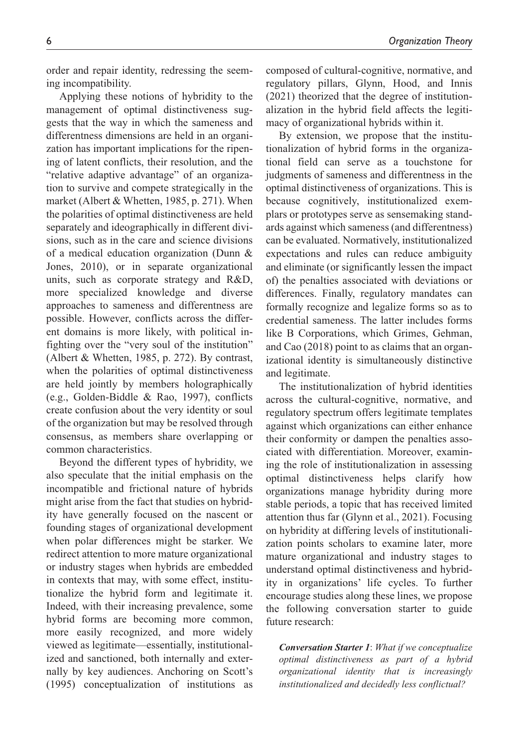order and repair identity, redressing the seeming incompatibility.

Applying these notions of hybridity to the management of optimal distinctiveness suggests that the way in which the sameness and differentness dimensions are held in an organization has important implications for the ripening of latent conflicts, their resolution, and the "relative adaptive advantage" of an organization to survive and compete strategically in the market (Albert & Whetten, 1985, p. 271). When the polarities of optimal distinctiveness are held separately and ideographically in different divisions, such as in the care and science divisions of a medical education organization (Dunn & Jones, 2010), or in separate organizational units, such as corporate strategy and R&D, more specialized knowledge and diverse approaches to sameness and differentness are possible. However, conflicts across the different domains is more likely, with political infighting over the "very soul of the institution" (Albert & Whetten, 1985, p. 272). By contrast, when the polarities of optimal distinctiveness are held jointly by members holographically (e.g., Golden-Biddle & Rao, 1997), conflicts create confusion about the very identity or soul of the organization but may be resolved through consensus, as members share overlapping or common characteristics.

Beyond the different types of hybridity, we also speculate that the initial emphasis on the incompatible and frictional nature of hybrids might arise from the fact that studies on hybridity have generally focused on the nascent or founding stages of organizational development when polar differences might be starker. We redirect attention to more mature organizational or industry stages when hybrids are embedded in contexts that may, with some effect, institutionalize the hybrid form and legitimate it. Indeed, with their increasing prevalence, some hybrid forms are becoming more common, more easily recognized, and more widely viewed as legitimate—essentially, institutionalized and sanctioned, both internally and externally by key audiences. Anchoring on Scott's (1995) conceptualization of institutions as

composed of cultural-cognitive, normative, and regulatory pillars, Glynn, Hood, and Innis (2021) theorized that the degree of institutionalization in the hybrid field affects the legitimacy of organizational hybrids within it.

By extension, we propose that the institutionalization of hybrid forms in the organizational field can serve as a touchstone for judgments of sameness and differentness in the optimal distinctiveness of organizations. This is because cognitively, institutionalized exemplars or prototypes serve as sensemaking standards against which sameness (and differentness) can be evaluated. Normatively, institutionalized expectations and rules can reduce ambiguity and eliminate (or significantly lessen the impact of) the penalties associated with deviations or differences. Finally, regulatory mandates can formally recognize and legalize forms so as to credential sameness. The latter includes forms like B Corporations, which Grimes, Gehman, and Cao (2018) point to as claims that an organizational identity is simultaneously distinctive and legitimate.

The institutionalization of hybrid identities across the cultural-cognitive, normative, and regulatory spectrum offers legitimate templates against which organizations can either enhance their conformity or dampen the penalties associated with differentiation. Moreover, examining the role of institutionalization in assessing optimal distinctiveness helps clarify how organizations manage hybridity during more stable periods, a topic that has received limited attention thus far (Glynn et al., 2021). Focusing on hybridity at differing levels of institutionalization points scholars to examine later, more mature organizational and industry stages to understand optimal distinctiveness and hybridity in organizations' life cycles. To further encourage studies along these lines, we propose the following conversation starter to guide future research:

*Conversation Starter 1*: *What if we conceptualize optimal distinctiveness as part of a hybrid organizational identity that is increasingly institutionalized and decidedly less conflictual?*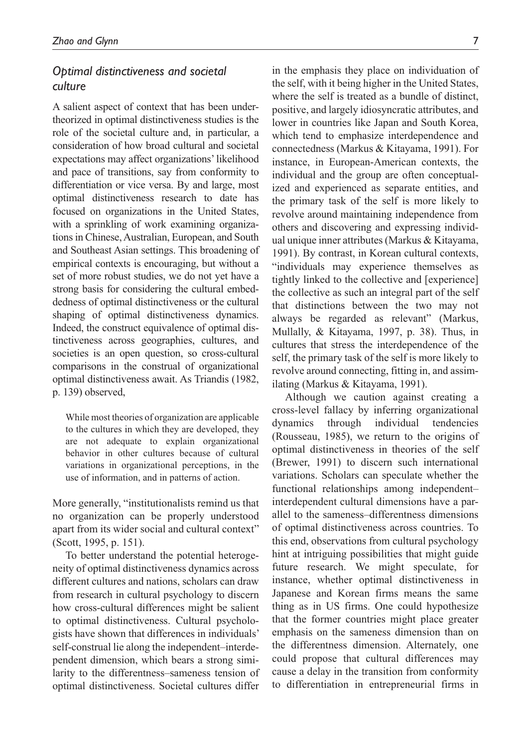## *Optimal distinctiveness and societal culture*

A salient aspect of context that has been undertheorized in optimal distinctiveness studies is the role of the societal culture and, in particular, a consideration of how broad cultural and societal expectations may affect organizations' likelihood and pace of transitions, say from conformity to differentiation or vice versa. By and large, most optimal distinctiveness research to date has focused on organizations in the United States, with a sprinkling of work examining organizations in Chinese, Australian, European, and South and Southeast Asian settings. This broadening of empirical contexts is encouraging, but without a set of more robust studies, we do not yet have a strong basis for considering the cultural embeddedness of optimal distinctiveness or the cultural shaping of optimal distinctiveness dynamics. Indeed, the construct equivalence of optimal distinctiveness across geographies, cultures, and societies is an open question, so cross-cultural comparisons in the construal of organizational optimal distinctiveness await. As Triandis (1982, p. 139) observed,

While most theories of organization are applicable to the cultures in which they are developed, they are not adequate to explain organizational behavior in other cultures because of cultural variations in organizational perceptions, in the use of information, and in patterns of action.

More generally, "institutionalists remind us that no organization can be properly understood apart from its wider social and cultural context" (Scott, 1995, p. 151).

To better understand the potential heterogeneity of optimal distinctiveness dynamics across different cultures and nations, scholars can draw from research in cultural psychology to discern how cross-cultural differences might be salient to optimal distinctiveness. Cultural psychologists have shown that differences in individuals' self-construal lie along the independent–interdependent dimension, which bears a strong similarity to the differentness–sameness tension of optimal distinctiveness. Societal cultures differ

in the emphasis they place on individuation of the self, with it being higher in the United States, where the self is treated as a bundle of distinct, positive, and largely idiosyncratic attributes, and lower in countries like Japan and South Korea, which tend to emphasize interdependence and connectedness (Markus & Kitayama, 1991). For instance, in European-American contexts, the individual and the group are often conceptualized and experienced as separate entities, and the primary task of the self is more likely to revolve around maintaining independence from others and discovering and expressing individual unique inner attributes (Markus & Kitayama, 1991). By contrast, in Korean cultural contexts, "individuals may experience themselves as tightly linked to the collective and [experience] the collective as such an integral part of the self that distinctions between the two may not always be regarded as relevant" (Markus, Mullally, & Kitayama, 1997, p. 38). Thus, in cultures that stress the interdependence of the self, the primary task of the self is more likely to revolve around connecting, fitting in, and assimilating (Markus & Kitayama, 1991).

Although we caution against creating a cross-level fallacy by inferring organizational dynamics through individual tendencies (Rousseau, 1985), we return to the origins of optimal distinctiveness in theories of the self (Brewer, 1991) to discern such international variations. Scholars can speculate whether the functional relationships among independent– interdependent cultural dimensions have a parallel to the sameness–differentness dimensions of optimal distinctiveness across countries. To this end, observations from cultural psychology hint at intriguing possibilities that might guide future research. We might speculate, for instance, whether optimal distinctiveness in Japanese and Korean firms means the same thing as in US firms. One could hypothesize that the former countries might place greater emphasis on the sameness dimension than on the differentness dimension. Alternately, one could propose that cultural differences may cause a delay in the transition from conformity to differentiation in entrepreneurial firms in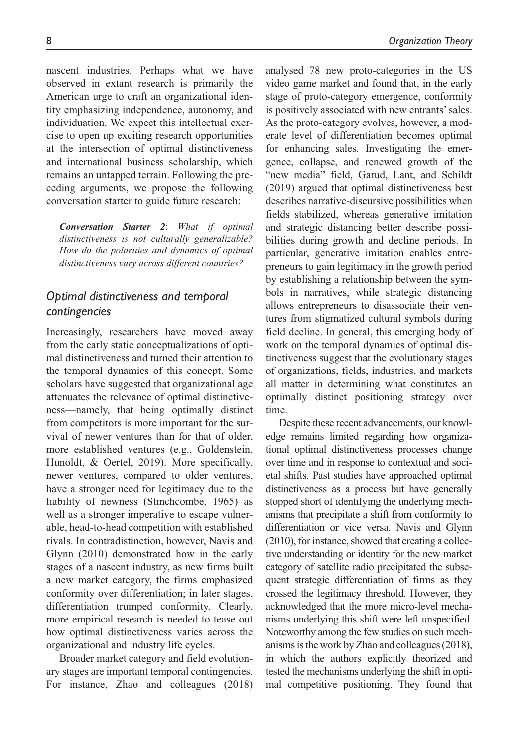nascent industries. Perhaps what we have observed in extant research is primarily the American urge to craft an organizational identity emphasizing independence, autonomy, and individuation. We expect this intellectual exercise to open up exciting research opportunities at the intersection of optimal distinctiveness and international business scholarship, which remains an untapped terrain. Following the preceding arguments, we propose the following conversation starter to guide future research:

*Conversation Starter 2*: *What if optimal distinctiveness is not culturally generalizable? How do the polarities and dynamics of optimal distinctiveness vary across different countries?*

## *Optimal distinctiveness and temporal contingencies*

Increasingly, researchers have moved away from the early static conceptualizations of optimal distinctiveness and turned their attention to the temporal dynamics of this concept. Some scholars have suggested that organizational age attenuates the relevance of optimal distinctiveness—namely, that being optimally distinct from competitors is more important for the survival of newer ventures than for that of older, more established ventures (e.g., Goldenstein, Hunoldt, & Oertel, 2019). More specifically, newer ventures, compared to older ventures, have a stronger need for legitimacy due to the liability of newness (Stinchcombe, 1965) as well as a stronger imperative to escape vulnerable, head-to-head competition with established rivals. In contradistinction, however, Navis and Glynn (2010) demonstrated how in the early stages of a nascent industry, as new firms built a new market category, the firms emphasized conformity over differentiation; in later stages, differentiation trumped conformity. Clearly, more empirical research is needed to tease out how optimal distinctiveness varies across the organizational and industry life cycles.

Broader market category and field evolutionary stages are important temporal contingencies. For instance, Zhao and colleagues (2018) analysed 78 new proto-categories in the US video game market and found that, in the early stage of proto-category emergence, conformity is positively associated with new entrants' sales. As the proto-category evolves, however, a moderate level of differentiation becomes optimal for enhancing sales. Investigating the emergence, collapse, and renewed growth of the "new media" field, Garud, Lant, and Schildt (2019) argued that optimal distinctiveness best describes narrative-discursive possibilities when fields stabilized, whereas generative imitation and strategic distancing better describe possibilities during growth and decline periods. In particular, generative imitation enables entrepreneurs to gain legitimacy in the growth period by establishing a relationship between the symbols in narratives, while strategic distancing allows entrepreneurs to disassociate their ventures from stigmatized cultural symbols during field decline. In general, this emerging body of work on the temporal dynamics of optimal distinctiveness suggest that the evolutionary stages of organizations, fields, industries, and markets all matter in determining what constitutes an optimally distinct positioning strategy over time.

Despite these recent advancements, our knowledge remains limited regarding how organizational optimal distinctiveness processes change over time and in response to contextual and societal shifts. Past studies have approached optimal distinctiveness as a process but have generally stopped short of identifying the underlying mechanisms that precipitate a shift from conformity to differentiation or vice versa. Navis and Glynn (2010), for instance, showed that creating a collective understanding or identity for the new market category of satellite radio precipitated the subsequent strategic differentiation of firms as they crossed the legitimacy threshold. However, they acknowledged that the more micro-level mechanisms underlying this shift were left unspecified. Noteworthy among the few studies on such mechanisms is the work by Zhao and colleagues (2018), in which the authors explicitly theorized and tested the mechanisms underlying the shift in optimal competitive positioning. They found that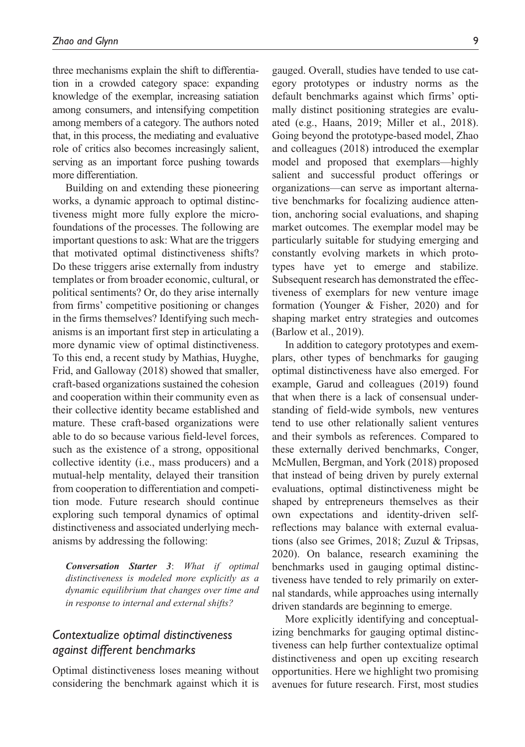three mechanisms explain the shift to differentiation in a crowded category space: expanding knowledge of the exemplar, increasing satiation among consumers, and intensifying competition among members of a category. The authors noted that, in this process, the mediating and evaluative role of critics also becomes increasingly salient, serving as an important force pushing towards more differentiation.

Building on and extending these pioneering works, a dynamic approach to optimal distinctiveness might more fully explore the microfoundations of the processes. The following are important questions to ask: What are the triggers that motivated optimal distinctiveness shifts? Do these triggers arise externally from industry templates or from broader economic, cultural, or political sentiments? Or, do they arise internally from firms' competitive positioning or changes in the firms themselves? Identifying such mechanisms is an important first step in articulating a more dynamic view of optimal distinctiveness. To this end, a recent study by Mathias, Huyghe, Frid, and Galloway (2018) showed that smaller, craft-based organizations sustained the cohesion and cooperation within their community even as their collective identity became established and mature. These craft-based organizations were able to do so because various field-level forces, such as the existence of a strong, oppositional collective identity (i.e., mass producers) and a mutual-help mentality, delayed their transition from cooperation to differentiation and competition mode. Future research should continue exploring such temporal dynamics of optimal distinctiveness and associated underlying mechanisms by addressing the following:

*Conversation Starter 3*: *What if optimal distinctiveness is modeled more explicitly as a dynamic equilibrium that changes over time and in response to internal and external shifts?*

## *Contextualize optimal distinctiveness against different benchmarks*

Optimal distinctiveness loses meaning without considering the benchmark against which it is gauged. Overall, studies have tended to use category prototypes or industry norms as the default benchmarks against which firms' optimally distinct positioning strategies are evaluated (e.g., Haans, 2019; Miller et al., 2018). Going beyond the prototype-based model, Zhao and colleagues (2018) introduced the exemplar model and proposed that exemplars—highly salient and successful product offerings or organizations—can serve as important alternative benchmarks for focalizing audience attention, anchoring social evaluations, and shaping market outcomes. The exemplar model may be particularly suitable for studying emerging and constantly evolving markets in which prototypes have yet to emerge and stabilize. Subsequent research has demonstrated the effectiveness of exemplars for new venture image formation (Younger & Fisher, 2020) and for shaping market entry strategies and outcomes (Barlow et al., 2019).

In addition to category prototypes and exemplars, other types of benchmarks for gauging optimal distinctiveness have also emerged. For example, Garud and colleagues (2019) found that when there is a lack of consensual understanding of field-wide symbols, new ventures tend to use other relationally salient ventures and their symbols as references. Compared to these externally derived benchmarks, Conger, McMullen, Bergman, and York (2018) proposed that instead of being driven by purely external evaluations, optimal distinctiveness might be shaped by entrepreneurs themselves as their own expectations and identity-driven selfreflections may balance with external evaluations (also see Grimes, 2018; Zuzul & Tripsas, 2020). On balance, research examining the benchmarks used in gauging optimal distinctiveness have tended to rely primarily on external standards, while approaches using internally driven standards are beginning to emerge.

More explicitly identifying and conceptualizing benchmarks for gauging optimal distinctiveness can help further contextualize optimal distinctiveness and open up exciting research opportunities. Here we highlight two promising avenues for future research. First, most studies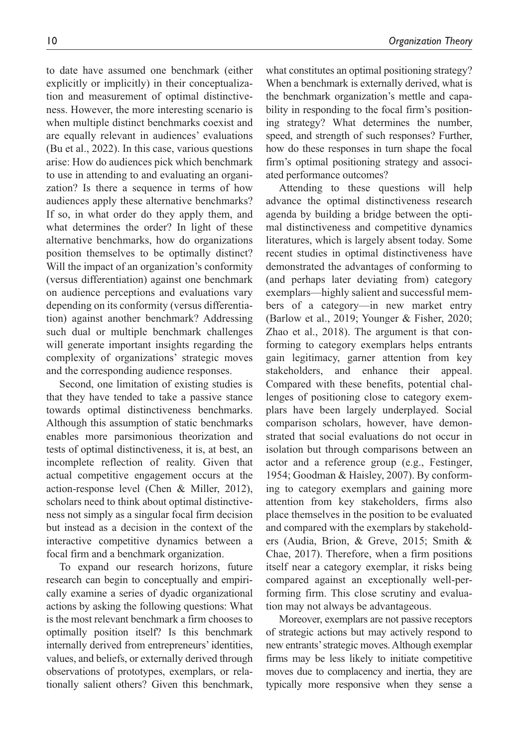to date have assumed one benchmark (either explicitly or implicitly) in their conceptualization and measurement of optimal distinctiveness. However, the more interesting scenario is when multiple distinct benchmarks coexist and are equally relevant in audiences' evaluations (Bu et al., 2022). In this case, various questions arise: How do audiences pick which benchmark to use in attending to and evaluating an organization? Is there a sequence in terms of how audiences apply these alternative benchmarks? If so, in what order do they apply them, and what determines the order? In light of these alternative benchmarks, how do organizations position themselves to be optimally distinct? Will the impact of an organization's conformity (versus differentiation) against one benchmark on audience perceptions and evaluations vary depending on its conformity (versus differentiation) against another benchmark? Addressing such dual or multiple benchmark challenges will generate important insights regarding the complexity of organizations' strategic moves and the corresponding audience responses.

Second, one limitation of existing studies is that they have tended to take a passive stance towards optimal distinctiveness benchmarks. Although this assumption of static benchmarks enables more parsimonious theorization and tests of optimal distinctiveness, it is, at best, an incomplete reflection of reality. Given that actual competitive engagement occurs at the action-response level (Chen & Miller, 2012), scholars need to think about optimal distinctiveness not simply as a singular focal firm decision but instead as a decision in the context of the interactive competitive dynamics between a focal firm and a benchmark organization.

To expand our research horizons, future research can begin to conceptually and empirically examine a series of dyadic organizational actions by asking the following questions: What is the most relevant benchmark a firm chooses to optimally position itself? Is this benchmark internally derived from entrepreneurs' identities, values, and beliefs, or externally derived through observations of prototypes, exemplars, or relationally salient others? Given this benchmark,

what constitutes an optimal positioning strategy? When a benchmark is externally derived, what is the benchmark organization's mettle and capability in responding to the focal firm's positioning strategy? What determines the number, speed, and strength of such responses? Further, how do these responses in turn shape the focal firm's optimal positioning strategy and associated performance outcomes?

Attending to these questions will help advance the optimal distinctiveness research agenda by building a bridge between the optimal distinctiveness and competitive dynamics literatures, which is largely absent today. Some recent studies in optimal distinctiveness have demonstrated the advantages of conforming to (and perhaps later deviating from) category exemplars—highly salient and successful members of a category—in new market entry (Barlow et al., 2019; Younger & Fisher, 2020; Zhao et al., 2018). The argument is that conforming to category exemplars helps entrants gain legitimacy, garner attention from key stakeholders, and enhance their appeal. Compared with these benefits, potential challenges of positioning close to category exemplars have been largely underplayed. Social comparison scholars, however, have demonstrated that social evaluations do not occur in isolation but through comparisons between an actor and a reference group (e.g., Festinger, 1954; Goodman & Haisley, 2007). By conforming to category exemplars and gaining more attention from key stakeholders, firms also place themselves in the position to be evaluated and compared with the exemplars by stakeholders (Audia, Brion, & Greve, 2015; Smith & Chae, 2017). Therefore, when a firm positions itself near a category exemplar, it risks being compared against an exceptionally well-performing firm. This close scrutiny and evaluation may not always be advantageous.

Moreover, exemplars are not passive receptors of strategic actions but may actively respond to new entrants' strategic moves. Although exemplar firms may be less likely to initiate competitive moves due to complacency and inertia, they are typically more responsive when they sense a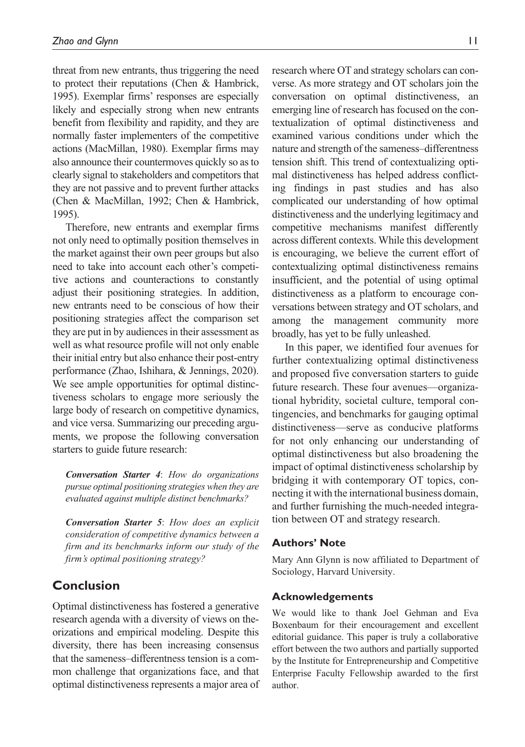threat from new entrants, thus triggering the need to protect their reputations (Chen & Hambrick, 1995). Exemplar firms' responses are especially likely and especially strong when new entrants benefit from flexibility and rapidity, and they are normally faster implementers of the competitive actions (MacMillan, 1980). Exemplar firms may also announce their countermoves quickly so as to clearly signal to stakeholders and competitors that they are not passive and to prevent further attacks (Chen & MacMillan, 1992; Chen & Hambrick, 1995).

Therefore, new entrants and exemplar firms not only need to optimally position themselves in the market against their own peer groups but also need to take into account each other's competitive actions and counteractions to constantly adjust their positioning strategies. In addition, new entrants need to be conscious of how their positioning strategies affect the comparison set they are put in by audiences in their assessment as well as what resource profile will not only enable their initial entry but also enhance their post-entry performance (Zhao, Ishihara, & Jennings, 2020). We see ample opportunities for optimal distinctiveness scholars to engage more seriously the large body of research on competitive dynamics, and vice versa. Summarizing our preceding arguments, we propose the following conversation starters to guide future research:

*Conversation Starter 4*: *How do organizations pursue optimal positioning strategies when they are evaluated against multiple distinct benchmarks?*

*Conversation Starter 5*: *How does an explicit consideration of competitive dynamics between a firm and its benchmarks inform our study of the firm's optimal positioning strategy?*

## **Conclusion**

Optimal distinctiveness has fostered a generative research agenda with a diversity of views on theorizations and empirical modeling. Despite this diversity, there has been increasing consensus that the sameness–differentness tension is a common challenge that organizations face, and that optimal distinctiveness represents a major area of research where OT and strategy scholars can converse. As more strategy and OT scholars join the conversation on optimal distinctiveness, an emerging line of research has focused on the contextualization of optimal distinctiveness and examined various conditions under which the nature and strength of the sameness–differentness tension shift. This trend of contextualizing optimal distinctiveness has helped address conflicting findings in past studies and has also complicated our understanding of how optimal distinctiveness and the underlying legitimacy and competitive mechanisms manifest differently across different contexts. While this development is encouraging, we believe the current effort of contextualizing optimal distinctiveness remains insufficient, and the potential of using optimal distinctiveness as a platform to encourage conversations between strategy and OT scholars, and among the management community more broadly, has yet to be fully unleashed.

In this paper, we identified four avenues for further contextualizing optimal distinctiveness and proposed five conversation starters to guide future research. These four avenues—organizational hybridity, societal culture, temporal contingencies, and benchmarks for gauging optimal distinctiveness—serve as conducive platforms for not only enhancing our understanding of optimal distinctiveness but also broadening the impact of optimal distinctiveness scholarship by bridging it with contemporary OT topics, connecting it with the international business domain, and further furnishing the much-needed integration between OT and strategy research.

#### **Authors' Note**

Mary Ann Glynn is now affiliated to Department of Sociology, Harvard University.

#### **Acknowledgements**

We would like to thank Joel Gehman and Eva Boxenbaum for their encouragement and excellent editorial guidance. This paper is truly a collaborative effort between the two authors and partially supported by the Institute for Entrepreneurship and Competitive Enterprise Faculty Fellowship awarded to the first author.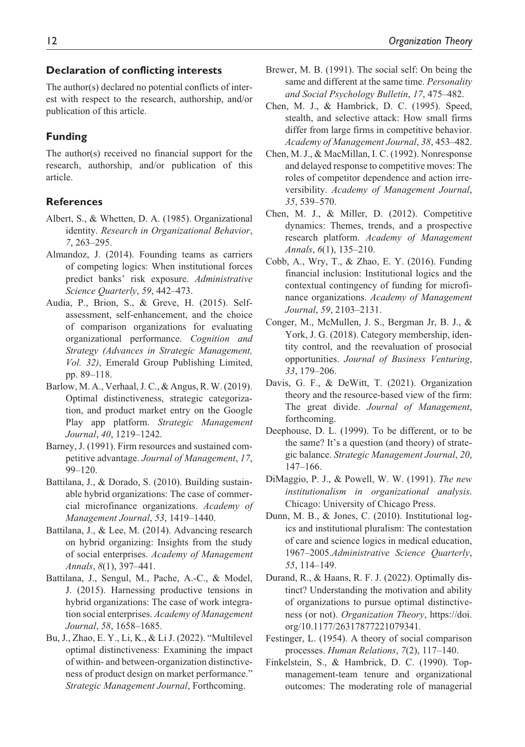## **Declaration of conflicting interests**

The author(s) declared no potential conflicts of interest with respect to the research, authorship, and/or publication of this article.

## **Funding**

The author(s) received no financial support for the research, authorship, and/or publication of this article.

#### **References**

- Albert, S., & Whetten, D. A. (1985). Organizational identity. *Research in Organizational Behavior*, *7*, 263–295.
- Almandoz, J. (2014). Founding teams as carriers of competing logics: When institutional forces predict banks' risk exposure. *Administrative Science Quarterly*, *59*, 442–473.
- Audia, P., Brion, S., & Greve, H. (2015). Selfassessment, self-enhancement, and the choice of comparison organizations for evaluating organizational performance. *Cognition and Strategy (Advances in Strategic Management, Vol. 32)*, Emerald Group Publishing Limited, pp. 89–118.
- Barlow, M. A., Verhaal, J. C., & Angus, R. W. (2019). Optimal distinctiveness, strategic categorization, and product market entry on the Google Play app platform. *Strategic Management Journal*, *40*, 1219–1242.
- Barney, J. (1991). Firm resources and sustained competitive advantage. *Journal of Management*, *17*, 99–120.
- Battilana, J., & Dorado, S. (2010). Building sustainable hybrid organizations: The case of commercial microfinance organizations. *Academy of Management Journal*, *53*, 1419–1440.
- Battilana, J., & Lee, M. (2014). Advancing research on hybrid organizing: Insights from the study of social enterprises. *Academy of Management Annals*, *8*(1), 397–441.
- Battilana, J., Sengul, M., Pache, A.-C., & Model, J. (2015). Harnessing productive tensions in hybrid organizations: The case of work integration social enterprises. *Academy of Management Journal*, *58*, 1658–1685.
- Bu, J., Zhao, E. Y., Li, K., & Li J. (2022). "Multilevel optimal distinctiveness: Examining the impact of within- and between-organization distinctiveness of product design on market performance." *Strategic Management Journal*, Forthcoming.
- Brewer, M. B. (1991). The social self: On being the same and different at the same time. *Personality and Social Psychology Bulletin*, *17*, 475–482.
- Chen, M. J., & Hambrick, D. C. (1995). Speed, stealth, and selective attack: How small firms differ from large firms in competitive behavior. *Academy of Management Journal*, *38*, 453–482.
- Chen, M. J., & MacMillan, I. C. (1992). Nonresponse and delayed response to competitive moves: The roles of competitor dependence and action irreversibility. *Academy of Management Journal*, *35*, 539–570.
- Chen, M. J., & Miller, D. (2012). Competitive dynamics: Themes, trends, and a prospective research platform. *Academy of Management Annals*, *6*(1), 135–210.
- Cobb, A., Wry, T., & Zhao, E. Y. (2016). Funding financial inclusion: Institutional logics and the contextual contingency of funding for microfinance organizations. *Academy of Management Journal*, *59*, 2103–2131.
- Conger, M., McMullen, J. S., Bergman Jr, B. J., & York, J. G. (2018). Category membership, identity control, and the reevaluation of prosocial opportunities. *Journal of Business Venturing*, *33*, 179–206.
- Davis, G. F., & DeWitt, T. (2021). Organization theory and the resource-based view of the firm: The great divide. *Journal of Management*, forthcoming.
- Deephouse, D. L. (1999). To be different, or to be the same? It's a question (and theory) of strategic balance. *Strategic Management Journal*, *20*, 147–166.
- DiMaggio, P. J., & Powell, W. W. (1991). *The new institutionalism in organizational analysis*. Chicago: University of Chicago Press.
- Dunn, M. B., & Jones, C. (2010). Institutional logics and institutional pluralism: The contestation of care and science logics in medical education, 1967–2005.*Administrative Science Quarterly*, *55*, 114–149.
- Durand, R., & Haans, R. F. J. (2022). Optimally distinct? Understanding the motivation and ability of organizations to pursue optimal distinctiveness (or not). *Organization Theory*, [https://doi.](https://doi.org/10.1177/26317877221079341) [org/10.1177/26317877221079341](https://doi.org/10.1177/26317877221079341)*.*
- Festinger, L. (1954). A theory of social comparison processes. *Human Relations*, *7*(2), 117–140.
- Finkelstein, S., & Hambrick, D. C. (1990). Topmanagement-team tenure and organizational outcomes: The moderating role of managerial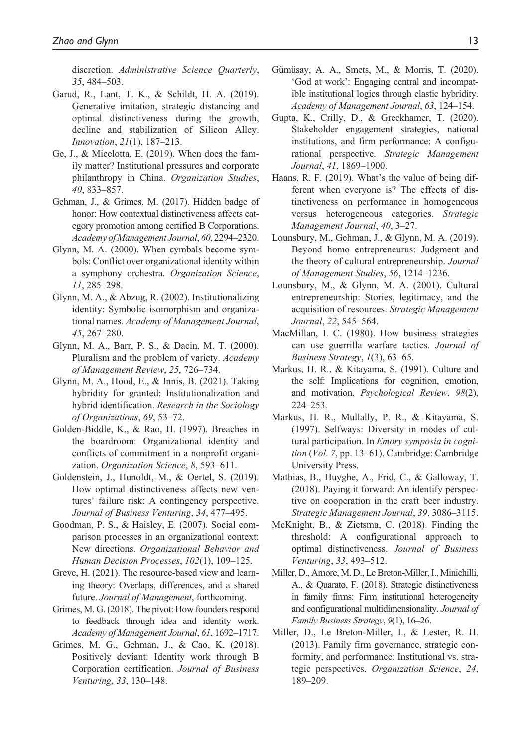discretion. *Administrative Science Quarterly*, *35*, 484–503.

- Garud, R., Lant, T. K., & Schildt, H. A. (2019). Generative imitation, strategic distancing and optimal distinctiveness during the growth, decline and stabilization of Silicon Alley. *Innovation*, *21*(1), 187–213.
- Ge, J., & Micelotta, E. (2019). When does the family matter? Institutional pressures and corporate philanthropy in China. *Organization Studies*, *40*, 833–857.
- Gehman, J., & Grimes, M. (2017). Hidden badge of honor: How contextual distinctiveness affects category promotion among certified B Corporations. *Academy of Management Journal*, *60*, 2294–2320.
- Glynn, M. A. (2000). When cymbals become symbols: Conflict over organizational identity within a symphony orchestra. *Organization Science*, *11*, 285–298.
- Glynn, M. A., & Abzug, R. (2002). Institutionalizing identity: Symbolic isomorphism and organizational names. *Academy of Management Journal*, *45*, 267–280.
- Glynn, M. A., Barr, P. S., & Dacin, M. T. (2000). Pluralism and the problem of variety. *Academy of Management Review*, *25*, 726–734.
- Glynn, M. A., Hood, E., & Innis, B. (2021). Taking hybridity for granted: Institutionalization and hybrid identification. *Research in the Sociology of Organizations*, *69*, 53–72.
- Golden-Biddle, K., & Rao, H. (1997). Breaches in the boardroom: Organizational identity and conflicts of commitment in a nonprofit organization. *Organization Science*, *8*, 593–611.
- Goldenstein, J., Hunoldt, M., & Oertel, S. (2019). How optimal distinctiveness affects new ventures' failure risk: A contingency perspective. *Journal of Business Venturing*, *34*, 477–495.
- Goodman, P. S., & Haisley, E. (2007). Social comparison processes in an organizational context: New directions. *Organizational Behavior and Human Decision Processes*, *102*(1), 109–125.
- Greve, H. (2021). The resource-based view and learning theory: Overlaps, differences, and a shared future. *Journal of Management*, forthcoming.
- Grimes, M. G. (2018). The pivot: How founders respond to feedback through idea and identity work. *Academy of Management Journal*, *61*, 1692–1717.
- Grimes, M. G., Gehman, J., & Cao, K. (2018). Positively deviant: Identity work through B Corporation certification. *Journal of Business Venturing*, *33*, 130–148.
- Gümüsay, A. A., Smets, M., & Morris, T. (2020). 'God at work': Engaging central and incompatible institutional logics through elastic hybridity. *Academy of Management Journal*, *63*, 124–154.
- Gupta, K., Crilly, D., & Greckhamer, T. (2020). Stakeholder engagement strategies, national institutions, and firm performance: A configurational perspective. *Strategic Management Journal*, *41*, 1869–1900.
- Haans, R. F. (2019). What's the value of being different when everyone is? The effects of distinctiveness on performance in homogeneous versus heterogeneous categories. *Strategic Management Journal*, *40*, 3–27.
- Lounsbury, M., Gehman, J., & Glynn, M. A. (2019). Beyond homo entrepreneurus: Judgment and the theory of cultural entrepreneurship. *Journal of Management Studies*, *56*, 1214–1236.
- Lounsbury, M., & Glynn, M. A. (2001). Cultural entrepreneurship: Stories, legitimacy, and the acquisition of resources. *Strategic Management Journal*, *22*, 545–564.
- MacMillan, I. C. (1980). How business strategies can use guerrilla warfare tactics. *Journal of Business Strategy*, *1*(3), 63–65.
- Markus, H. R., & Kitayama, S. (1991). Culture and the self: Implications for cognition, emotion, and motivation. *Psychological Review*, *98*(2), 224–253.
- Markus, H. R., Mullally, P. R., & Kitayama, S. (1997). Selfways: Diversity in modes of cultural participation. In *Emory symposia in cognition* (*Vol. 7*, pp. 13–61). Cambridge: Cambridge University Press.
- Mathias, B., Huyghe, A., Frid, C., & Galloway, T. (2018). Paying it forward: An identify perspective on cooperation in the craft beer industry. *Strategic Management Journal*, *39*, 3086–3115.
- McKnight, B., & Zietsma, C. (2018). Finding the threshold: A configurational approach to optimal distinctiveness. *Journal of Business Venturing*, *33*, 493–512.
- Miller, D., Amore, M. D., Le Breton-Miller, I., Minichilli, A., & Quarato, F. (2018). Strategic distinctiveness in family firms: Firm institutional heterogeneity and configurational multidimensionality. *Journal of Family Business Strategy*, *9*(1), 16–26.
- Miller, D., Le Breton-Miller, I., & Lester, R. H. (2013). Family firm governance, strategic conformity, and performance: Institutional vs. strategic perspectives. *Organization Science*, *24*, 189–209.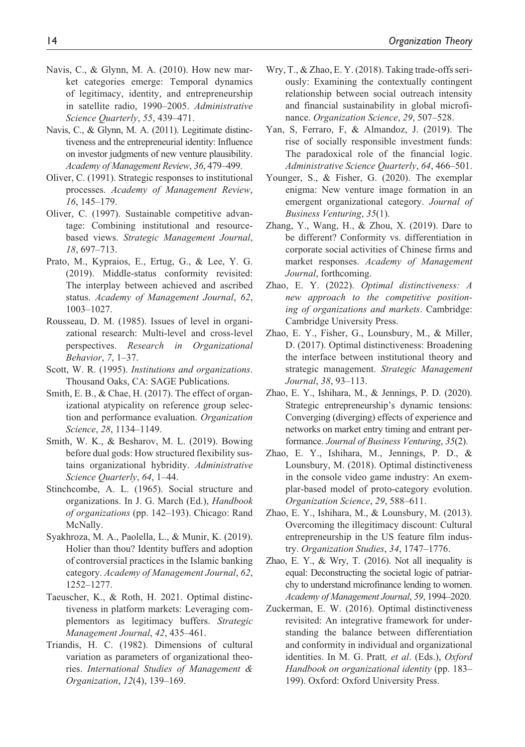- Navis, C., & Glynn, M. A. (2010). How new market categories emerge: Temporal dynamics of legitimacy, identity, and entrepreneurship in satellite radio, 1990–2005. *Administrative Science Quarterly*, *55*, 439–471.
- Navis, C., & Glynn, M. A. (2011). Legitimate distinctiveness and the entrepreneurial identity: Influence on investor judgments of new venture plausibility. *Academy of Management Review*, *36*, 479–499.
- Oliver, C. (1991). Strategic responses to institutional processes. *Academy of Management Review*, *16*, 145–179.
- Oliver, C. (1997). Sustainable competitive advantage: Combining institutional and resourcebased views. *Strategic Management Journal*, *18*, 697–713.
- Prato, M., Kypraios, E., Ertug, G., & Lee, Y. G. (2019). Middle-status conformity revisited: The interplay between achieved and ascribed status. *Academy of Management Journal*, *62*, 1003–1027.
- Rousseau, D. M. (1985). Issues of level in organizational research: Multi-level and cross-level perspectives. *Research in Organizational Behavior*, *7*, 1–37.
- Scott, W. R. (1995). *Institutions and organizations*. Thousand Oaks, CA: SAGE Publications.
- Smith, E. B., & Chae, H. (2017). The effect of organizational atypicality on reference group selection and performance evaluation. *Organization Science*, *28*, 1134–1149.
- Smith, W. K., & Besharov, M. L. (2019). Bowing before dual gods: How structured flexibility sustains organizational hybridity. *Administrative Science Quarterly*, *64*, 1–44.
- Stinchcombe, A. L. (1965). Social structure and organizations. In J. G. March (Ed.), *Handbook of organizations* (pp. 142–193). Chicago: Rand McNally.
- Syakhroza, M. A., Paolella, L., & Munir, K. (2019). Holier than thou? Identity buffers and adoption of controversial practices in the Islamic banking category. *Academy of Management Journal*, *62*, 1252–1277.
- Taeuscher, K., & Roth, H. 2021. Optimal distinctiveness in platform markets: Leveraging complementors as legitimacy buffers. *Strategic Management Journal*, *42*, 435–461.
- Triandis, H. C. (1982). Dimensions of cultural variation as parameters of organizational theories. *International Studies of Management & Organization*, *12*(4), 139–169.
- Wry, T., & Zhao, E. Y. (2018). Taking trade-offs seriously: Examining the contextually contingent relationship between social outreach intensity and financial sustainability in global microfinance. *Organization Science*, *29*, 507–528.
- Yan, S, Ferraro, F, & Almandoz, J. (2019). The rise of socially responsible investment funds: The paradoxical role of the financial logic. *Administrative Science Quarterly*, *64*, 466–501.
- Younger, S., & Fisher, G. (2020). The exemplar enigma: New venture image formation in an emergent organizational category. *Journal of Business Venturing*, *35*(1).
- Zhang, Y., Wang, H., & Zhou, X. (2019). Dare to be different? Conformity vs. differentiation in corporate social activities of Chinese firms and market responses. *Academy of Management Journal*, forthcoming.
- Zhao, E. Y. (2022). *Optimal distinctiveness: A new approach to the competitive positioning of organizations and markets*. Cambridge: Cambridge University Press.
- Zhao, E. Y., Fisher, G., Lounsbury, M., & Miller, D. (2017). Optimal distinctiveness: Broadening the interface between institutional theory and strategic management. *Strategic Management Journal*, *38*, 93–113.
- Zhao, E. Y., Ishihara, M., & Jennings, P. D. (2020). Strategic entrepreneurship's dynamic tensions: Converging (diverging) effects of experience and networks on market entry timing and entrant performance. *Journal of Business Venturing*, *35*(2).
- Zhao, E. Y., Ishihara, M., Jennings, P. D., & Lounsbury, M. (2018). Optimal distinctiveness in the console video game industry: An exemplar-based model of proto-category evolution. *Organization Science*, *29*, 588–611.
- Zhao, E. Y., Ishihara, M., & Lounsbury, M. (2013). Overcoming the illegitimacy discount: Cultural entrepreneurship in the US feature film industry. *Organization Studies*, *34*, 1747–1776.
- Zhao, E. Y., & Wry, T. (2016). Not all inequality is equal: Deconstructing the societal logic of patriarchy to understand microfinance lending to women. *Academy of Management Journal*, *59*, 1994–2020.
- Zuckerman, E. W. (2016). Optimal distinctiveness revisited: An integrative framework for understanding the balance between differentiation and conformity in individual and organizational identities. In M. G. Pratt*, et al*. (Eds.), *Oxford Handbook on organizational identity* (pp. 183– 199). Oxford: Oxford University Press.